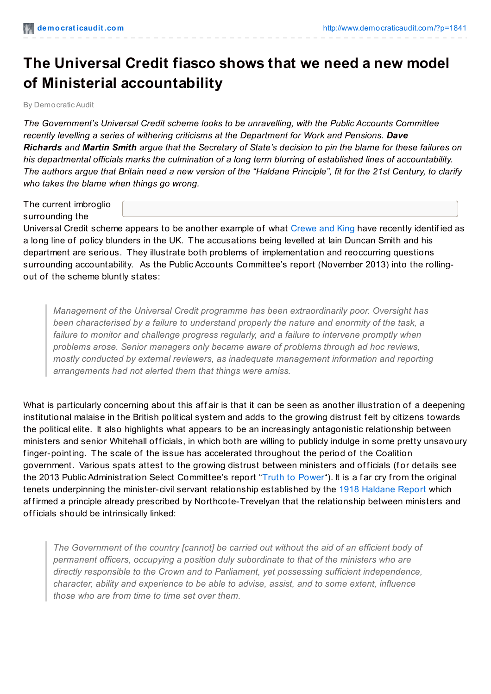## **The Universal Credit fiasco shows that we need a new model of Ministerial accountability**

By Democratic Audit

*The Government's Universal Credit scheme looks to be unravelling, with the Public Accounts Committee recently levelling a series of withering criticisms at the Department for Work and Pensions. Dave* Richards and Martin Smith argue that the Secretary of State's decision to pin the blame for these failures on *his departmental officials marks the culmination of a long term blurring of established lines of accountability.* The authors argue that Britain need a new version of the "Haldane Principle", fit for the 21st Century, to clarify *who takes the blame when things go wrong.*

The current imbroglio surrounding the

Universal Credit scheme appears to be another example of what [Crewe](http://www.amazon.co.uk/The-Blunders-Governments-Anthony-King/dp/1780742665) and King have recently identif ied as a long line of policy blunders in the UK. The accusations being levelled at Iain Duncan Smith and his department are serious. They illustrate both problems of implementation and reoccurring questions surrounding accountability. As the Public Accounts Committee's report (November 2013) into the rollingout of the scheme bluntly states:

*Management of the Universal Credit programme has been extraordinarily poor. Oversight has been characterised by a failure to understand properly the nature and enormity of the task, a failure to monitor and challenge progress regularly, and a failure to intervene promptly when problems arose. Senior managers only became aware of problems through ad hoc reviews, mostly conducted by external reviewers, as inadequate management information and reporting arrangements had not alerted them that things were amiss.*

What is particularly concerning about this affair is that it can be seen as another illustration of a deepening institutional malaise in the British political system and adds to the growing distrust f elt by citizens towards the political elite. It also highlights what appears to be an increasingly antagonistic relationship between ministers and senior Whitehall officials, in which both are willing to publicly indulge in some pretty unsavoury f inger-pointing. The scale of the issue has accelerated throughout the period of the Coalition government. Various spats attest to the growing distrust between ministers and officials (for details see the 2013 Public Administration Select Committee's report "Truth to [Power](http://www.publications.parliament.uk/pa/cm201314/cmselect/cmpubadm/74/74.pdf)"). It is a far cry from the original tenets underpinning the minister-civil servant relationship established by the 1918 [Haldane](http://www.civilservant.org.uk/haldanereport.pdf) Report which af firmed a principle already prescribed by Northcote-Trevelyan that the relationship between ministers and officials should be intrinsically linked:

*The Government of the country [cannot] be carried out without the aid of an efficient body of permanent officers, occupying a position duly subordinate to that of the ministers who are directly responsible to the Crown and to Parliament, yet possessing sufficient independence, character, ability and experience to be able to advise, assist, and to some extent, influence those who are from time to time set over them.*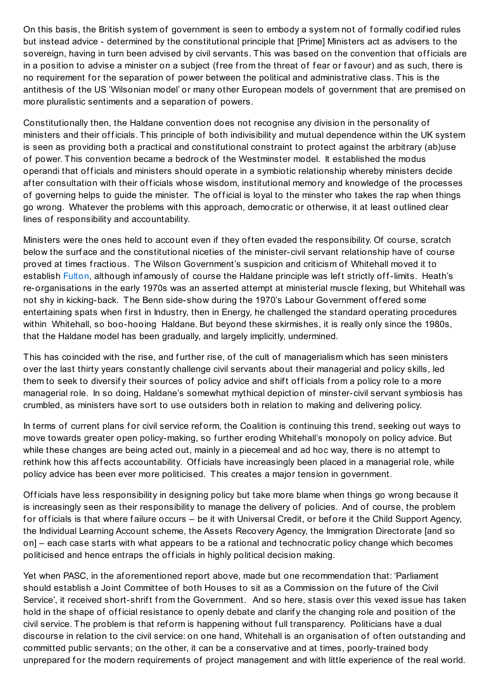On this basis, the British system of government is seen to embody a system not of f ormally codif ied rules but instead advice - determined by the constitutional principle that [Prime] Ministers act as advisers to the sovereign, having in turn been advised by civil servants. This was based on the convention that officials are in a position to advise a minister on a subject (free from the threat of fear or favour) and as such, there is no requirement for the separation of power between the political and administrative class. This is the antithesis of the US 'Wilsonian model' or many other European models of government that are premised on more pluralistic sentiments and a separation of powers.

Constitutionally then, the Haldane convention does not recognise any division in the personality of ministers and their officials. This principle of both indivisibility and mutual dependence within the UK system is seen as providing both a practical and constitutional constraint to protect against the arbitrary (ab)use of power. This convention became a bedrock of the Westminster model. It established the modus operandi that officials and ministers should operate in a symbiotic relationship whereby ministers decide after consultation with their officials whose wisdom, institutional memory and knowledge of the processes of governing helps to guide the minister. The official is loyal to the minster who takes the rap when things go wrong. Whatever the problems with this approach, democratic or otherwise, it at least outlined clear lines of responsibility and accountability.

Ministers were the ones held to account even if they of ten evaded the responsibility. Of course, scratch below the surf ace and the constitutional niceties of the minister-civil servant relationship have of course proved at times fractious. The Wilson Government's suspicion and criticism of Whitehall moved it to establish [Fulton](http://www.civilservant.org.uk/fultonreport.shtml), although inf amously of course the Haldane principle was left strictly off-limits. Heath's re-organisations in the early 1970s was an asserted attempt at ministerial muscle f lexing, but Whitehall was not shy in kicking-back. The Benn side-show during the 1970's Labour Government offered some entertaining spats when first in Industry, then in Energy, he challenged the standard operating procedures within Whitehall, so boo-hooing Haldane. But beyond these skirmishes, it is really only since the 1980s, that the Haldane model has been gradually, and largely implicitly, undermined.

This has coincided with the rise, and further rise, of the cult of managerialism which has seen ministers over the last thirty years constantly challenge civil servants about their managerial and policy skills, led them to seek to diversify their sources of policy advice and shift officials from a policy role to a more managerial role. In so doing, Haldane's somewhat mythical depiction of minster-civil servant symbiosis has crumbled, as ministers have sort to use outsiders both in relation to making and delivering policy.

In terms of current plans for civil service reform, the Coalition is continuing this trend, seeking out ways to move towards greater open policy-making, so f urther eroding Whitehall's monopoly on policy advice. But while these changes are being acted out, mainly in a piecemeal and ad hoc way, there is no attempt to rethink how this affects accountability. Officials have increasingly been placed in a managerial role, while policy advice has been ever more politicised. This creates a major tension in government.

Officials have less responsibility in designing policy but take more blame when things go wrong because it is increasingly seen as their responsibility to manage the delivery of policies. And of course, the problem for officials is that where failure occurs – be it with Universal Credit, or before it the Child Support Agency, the Individual Learning Account scheme, the Assets Recovery Agency, the Immigration Directorate [and so on] – each case starts with what appears to be a rational and technocratic policy change which becomes politicised and hence entraps the officials in highly political decision making.

Yet when PASC, in the af orementioned report above, made but one recommendation that: 'Parliament should establish a Joint Committee of both Houses to sit as a Commission on the future of the Civil Service', it received short-shrift from the Government. And so here, stasis over this vexed issue has taken hold in the shape of official resistance to openly debate and clarify the changing role and position of the civil service. The problem is that ref orm is happening without f ull transparency. Politicians have a dual discourse in relation to the civil service: on one hand, Whitehall is an organisation of of ten outstanding and committed public servants; on the other, it can be a conservative and at times, poorly-trained body unprepared for the modern requirements of project management and with little experience of the real world.